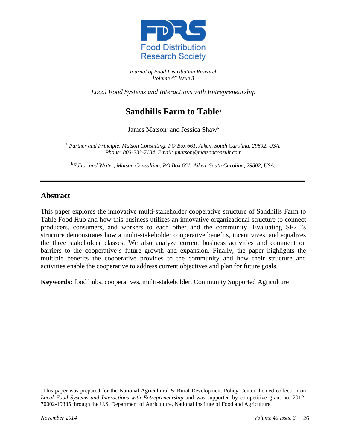

*Journal of Food Distribution Research Volume 45 Issue 3*

*Local Food Systems and Interactions with Entrepreneurship*

# **Sandhills Farm to Table[1](#page-0-0)**

James Matson<sup>a</sup> and Jessica Shaw<sup>b</sup>

<sup>a</sup> *Partner and Principle, Matson Consulting, PO Box 661, Aiken, South Carolina, 29802, USA. Phone: 803-233-7134 Email: jmatson@matsonconsult.com*

b *Editor and Writer, Matson Consulting, PO Box 661, Aiken, South Carolina, 29802, USA.*

### **Abstract**

This paper explores the innovative multi-stakeholder cooperative structure of Sandhills Farm to Table Food Hub and how this business utilizes an innovative organizational structure to connect producers, consumers, and workers to each other and the community. Evaluating SF2T's structure demonstrates how a multi-stakeholder cooperative benefits, incentivizes, and equalizes the three stakeholder classes. We also analyze current business activities and comment on barriers to the cooperative's future growth and expansion. Finally, the paper highlights the multiple benefits the cooperative provides to the community and how their structure and activities enable the cooperative to address current objectives and plan for future goals.

**Keywords:** food hubs, cooperatives, multi-stakeholder, Community Supported Agriculture

 $\overline{a}$ 

<span id="page-0-0"></span><sup>&</sup>lt;sup>1</sup>This paper was prepared for the National Agricultural & Rural Development Policy Center themed collection on *Local Food Systems and Interactions with Entrepreneurship* and was supported by competitive grant no. 2012- 70002-19385 through the U.S. Department of Agriculture, National Institute of Food and Agriculture.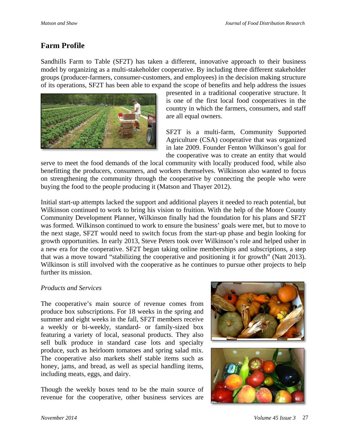# **Farm Profile**

Sandhills Farm to Table (SF2T) has taken a different, innovative approach to their business model by organizing as a multi-stakeholder cooperative. By including three different stakeholder groups (producer-farmers, consumer-customers, and employees) in the decision making structure of its operations, SF2T has been able to expand the scope of benefits and help address the issues



presented in a traditional cooperative structure. It is one of the first local food cooperatives in the country in which the farmers, consumers, and staff are all equal owners.

SF2T is a multi-farm, Community Supported Agriculture (CSA) cooperative that was organized in late 2009. Founder Fenton Wilkinson's goal for the cooperative was to create an entity that would

serve to meet the food demands of the local community with locally produced food, while also benefitting the producers, consumers, and workers themselves. Wilkinson also wanted to focus on strengthening the community through the cooperative by connecting the people who were buying the food to the people producing it (Matson and Thayer 2012).

Initial start-up attempts lacked the support and additional players it needed to reach potential, but Wilkinson continued to work to bring his vision to fruition. With the help of the Moore County Community Development Planner, Wilkinson finally had the foundation for his plans and SF2T was formed. Wilkinson continued to work to ensure the business' goals were met, but to move to the next stage, SF2T would need to switch focus from the start-up phase and begin looking for growth opportunities. In early 2013, Steve Peters took over Wilkinson's role and helped usher in a new era for the cooperative. SF2T began taking online memberships and subscriptions, a step that was a move toward "stabilizing the cooperative and positioning it for growth" (Natt 2013). Wilkinson is still involved with the cooperative as he continues to pursue other projects to help further its mission.

#### *Products and Services*

The cooperative's main source of revenue comes from produce box subscriptions. For 18 weeks in the spring and summer and eight weeks in the fall, SF2T members receive a weekly or bi-weekly, standard- or family-sized box featuring a variety of local, seasonal products. They also sell bulk produce in standard case lots and specialty produce, such as heirloom tomatoes and spring salad mix. The cooperative also markets shelf stable items such as honey, jams, and bread, as well as special handling items, including meats, eggs, and dairy.

Though the weekly boxes tend to be the main source of revenue for the cooperative, other business services are

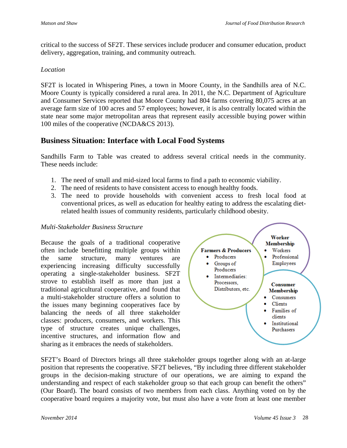critical to the success of SF2T. These services include producer and consumer education, product delivery, aggregation, training, and community outreach.

#### *Location*

SF2T is located in Whispering Pines, a town in Moore County, in the Sandhills area of N.C. Moore County is typically considered a rural area. In 2011, the N.C. Department of Agriculture and Consumer Services reported that Moore County had 804 farms covering 80,075 acres at an average farm size of 100 acres and 57 employees; however, it is also centrally located within the state near some major metropolitan areas that represent easily accessible buying power within 100 miles of the cooperative (NCDA&CS 2013).

### **Business Situation: Interface with Local Food Systems**

Sandhills Farm to Table was created to address several critical needs in the community. These needs include:

- 1. The need of small and mid-sized local farms to find a path to economic viability.
- 2. The need of residents to have consistent access to enough healthy foods.
- 3. The need to provide households with convenient access to fresh local food at conventional prices, as well as education for healthy eating to address the escalating dietrelated health issues of community residents, particularly childhood obesity.

#### *Multi-Stakeholder Business Structure*

Because the goals of a traditional cooperative often include benefitting multiple groups within the same structure, many ventures are experiencing increasing difficulty successfully operating a single-stakeholder business. SF2T strove to establish itself as more than just a traditional agricultural cooperative, and found that a multi-stakeholder structure offers a solution to the issues many beginning cooperatives face by balancing the needs of all three stakeholder classes: producers, consumers, and workers. This type of structure creates unique challenges, incentive structures, and information flow and sharing as it embraces the needs of stakeholders.



SF2T's Board of Directors brings all three stakeholder groups together along with an at-large position that represents the cooperative. SF2T believes, "By including three different stakeholder groups in the decision-making structure of our operations, we are aiming to expand the understanding and respect of each stakeholder group so that each group can benefit the others" (Our Board). The board consists of two members from each class. Anything voted on by the cooperative board requires a majority vote, but must also have a vote from at least one member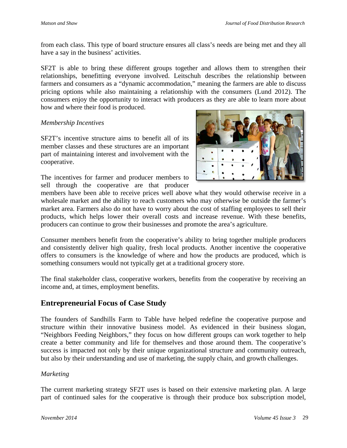from each class. This type of board structure ensures all class's needs are being met and they all have a say in the business' activities.

SF2T is able to bring these different groups together and allows them to strengthen their relationships, benefitting everyone involved. Leitschuh describes the relationship between farmers and consumers as a "dynamic accommodation," meaning the farmers are able to discuss pricing options while also maintaining a relationship with the consumers (Lund 2012). The consumers enjoy the opportunity to interact with producers as they are able to learn more about how and where their food is produced.

#### *Membership Incentives*

SF2T's incentive structure aims to benefit all of its member classes and these structures are an important part of maintaining interest and involvement with the cooperative.

The incentives for farmer and producer members to sell through the cooperative are that producer



members have been able to receive prices well above what they would otherwise receive in a wholesale market and the ability to reach customers who may otherwise be outside the farmer's market area. Farmers also do not have to worry about the cost of staffing employees to sell their products, which helps lower their overall costs and increase revenue. With these benefits, producers can continue to grow their businesses and promote the area's agriculture.

Consumer members benefit from the cooperative's ability to bring together multiple producers and consistently deliver high quality, fresh local products. Another incentive the cooperative offers to consumers is the knowledge of where and how the products are produced, which is something consumers would not typically get at a traditional grocery store.

The final stakeholder class, cooperative workers, benefits from the cooperative by receiving an income and, at times, employment benefits.

### **Entrepreneurial Focus of Case Study**

The founders of Sandhills Farm to Table have helped redefine the cooperative purpose and structure within their innovative business model. As evidenced in their business slogan, "Neighbors Feeding Neighbors," they focus on how different groups can work together to help create a better community and life for themselves and those around them. The cooperative's success is impacted not only by their unique organizational structure and community outreach, but also by their understanding and use of marketing, the supply chain, and growth challenges.

#### *Marketing*

The current marketing strategy SF2T uses is based on their extensive marketing plan. A large part of continued sales for the cooperative is through their produce box subscription model,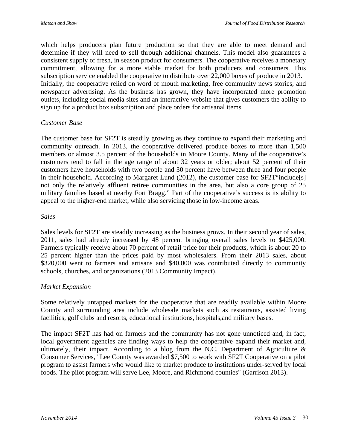which helps producers plan future production so that they are able to meet demand and determine if they will need to sell through additional channels. This model also guarantees a consistent supply of fresh, in season product for consumers. The cooperative receives a monetary commitment, allowing for a more stable market for both producers and consumers. This subscription service enabled the cooperative to distribute over 22,000 boxes of produce in 2013. Initially, the cooperative relied on word of mouth marketing, free community news stories, and newspaper advertising. As the business has grown, they have incorporated more promotion outlets, including social media sites and an interactive website that gives customers the ability to sign up for a product box subscription and place orders for artisanal items.

#### *Customer Base*

The customer base for SF2T is steadily growing as they continue to expand their marketing and community outreach. In 2013, the cooperative delivered produce boxes to more than 1,500 members or almost 3.5 percent of the households in Moore County. Many of the cooperative's customers tend to fall in the age range of about 32 years or older; about 52 percent of their customers have households with two people and 30 percent have between three and four people in their household. According to Margaret Lund (2012), the customer base for SF2T"include[s] not only the relatively affluent retiree communities in the area, but also a core group of 25 military families based at nearby Fort Bragg." Part of the cooperative's success is its ability to appeal to the higher-end market, while also servicing those in low-income areas.

#### *Sales*

Sales levels for SF2T are steadily increasing as the business grows. In their second year of sales, 2011, sales had already increased by 48 percent bringing overall sales levels to \$425,000. Farmers typically receive about 70 percent of retail price for their products, which is about 20 to 25 percent higher than the prices paid by most wholesalers. From their 2013 sales, about \$320,000 went to farmers and artisans and \$40,000 was contributed directly to community schools, churches, and organizations (2013 Community Impact).

#### *Market Expansion*

Some relatively untapped markets for the cooperative that are readily available within Moore County and surrounding area include wholesale markets such as restaurants, assisted living facilities, golf clubs and resorts, educational institutions, hospitals,and military bases.

The impact SF2T has had on farmers and the community has not gone unnoticed and, in fact, local government agencies are finding ways to help the cooperative expand their market and, ultimately, their impact. According to a blog from the N.C. Department of Agriculture  $\&$ Consumer Services, "Lee County was awarded \$7,500 to work with SF2T Cooperative on a pilot program to assist farmers who would like to market produce to institutions under-served by local foods. The pilot program will serve Lee, Moore, and Richmond counties" (Garrison 2013).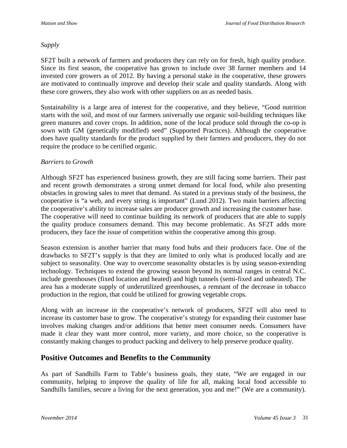#### *Supply*

SF2T built a network of farmers and producers they can rely on for fresh, high quality produce. Since its first season, the cooperative has grown to include over 38 farmer members and 14 invested core growers as of 2012. By having a personal stake in the cooperative, these growers are motivated to continually improve and develop their scale and quality standards. Along with these core growers, they also work with other suppliers on an as needed basis.

Sustainability is a large area of interest for the cooperative, and they believe, "Good nutrition starts with the soil, and most of our farmers universally use organic soil-building techniques like green manures and cover crops. In addition, none of the local produce sold through the co-op is sown with GM (genetically modified) seed" (Supported Practices). Although the cooperative does have quality standards for the product supplied by their farmers and producers, they do not require the produce to be certified organic.

#### *Barriers to Growth*

Although SF2T has experienced business growth, they are still facing some barriers. Their past and recent growth demonstrates a strong unmet demand for local food, while also presenting obstacles in growing sales to meet that demand. As stated in a previous study of the business, the cooperative is "a web, and every string is important" (Lund 2012). Two main barriers affecting the cooperative's ability to increase sales are producer growth and increasing the customer base. The cooperative will need to continue building its network of producers that are able to supply the quality produce consumers demand. This may become problematic. As SF2T adds more producers, they face the issue of competition within the cooperative among this group.

Season extension is another barrier that many food hubs and their producers face. One of the drawbacks to SF2T's supply is that they are limited to only what is produced locally and are subject to seasonality. One way to overcome seasonality obstacles is by using season-extending technology. Techniques to extend the growing season beyond its normal ranges in central N.C. include greenhouses (fixed location and heated) and high tunnels (semi-fixed and unheated). The area has a moderate supply of underutilized greenhouses, a remnant of the decrease in tobacco production in the region, that could be utilized for growing vegetable crops.

Along with an increase in the cooperative's network of producers, SF2T will also need to increase its customer base to grow. The cooperative's strategy for expanding their customer base involves making changes and/or additions that better meet consumer needs. Consumers have made it clear they want more control, more variety, and more choice, so the cooperative is constantly making changes to product packing and delivery to help preserve produce quality.

### **Positive Outcomes and Benefits to the Community**

As part of Sandhills Farm to Table's business goals, they state, "We are engaged in our community, helping to improve the quality of life for all, making local food accessible to Sandhills families, secure a living for the next generation, you and me!" (We are a community).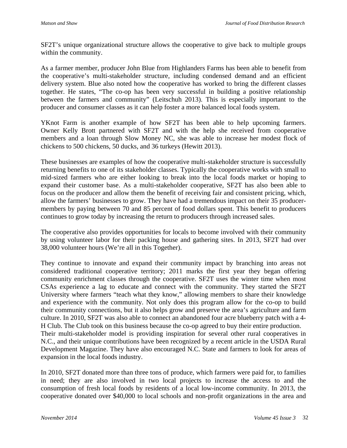SF2T's unique organizational structure allows the cooperative to give back to multiple groups within the community.

As a farmer member, producer John Blue from Highlanders Farms has been able to benefit from the cooperative's multi-stakeholder structure, including condensed demand and an efficient delivery system. Blue also noted how the cooperative has worked to bring the different classes together. He states, "The co-op has been very successful in building a positive relationship between the farmers and community" (Leitschuh 2013). This is especially important to the producer and consumer classes as it can help foster a more balanced local foods system.

YKnot Farm is another example of how SF2T has been able to help upcoming farmers. Owner Kelly Brott partnered with SF2T and with the help she received from cooperative members and a loan through Slow Money NC, she was able to increase her modest flock of chickens to 500 chickens, 50 ducks, and 36 turkeys (Hewitt 2013).

These businesses are examples of how the cooperative multi-stakeholder structure is successfully returning benefits to one of its stakeholder classes. Typically the cooperative works with small to mid-sized farmers who are either looking to break into the local foods market or hoping to expand their customer base. As a multi-stakeholder cooperative, SF2T has also been able to focus on the producer and allow them the benefit of receiving fair and consistent pricing, which, allow the farmers' businesses to grow. They have had a tremendous impact on their 35 producermembers by paying between 70 and 85 percent of food dollars spent. This benefit to producers continues to grow today by increasing the return to producers through increased sales.

The cooperative also provides opportunities for locals to become involved with their community by using volunteer labor for their packing house and gathering sites. In 2013, SF2T had over 38,000 volunteer hours (We're all in this Together).

They continue to innovate and expand their community impact by branching into areas not considered traditional cooperative territory; 2011 marks the first year they began offering community enrichment classes through the cooperative. SF2T uses the winter time when most CSAs experience a lag to educate and connect with the community. They started the SF2T University where farmers "teach what they know," allowing members to share their knowledge and experience with the community. Not only does this program allow for the co-op to build their community connections, but it also helps grow and preserve the area's agriculture and farm culture. In 2010, SF2T was also able to connect an abandoned four acre blueberry patch with a 4- H Club. The Club took on this business because the co-op agreed to buy their entire production. Their multi-stakeholder model is providing inspiration for several other rural cooperatives in N.C., and their unique contributions have been recognized by a recent article in the USDA Rural Development Magazine. They have also encouraged N.C. State and farmers to look for areas of expansion in the local foods industry.

In 2010, SF2T donated more than three tons of produce, which farmers were paid for, to families in need; they are also involved in two local projects to increase the access to and the consumption of fresh local foods by residents of a local low-income community. In 2013, the cooperative donated over \$40,000 to local schools and non-profit organizations in the area and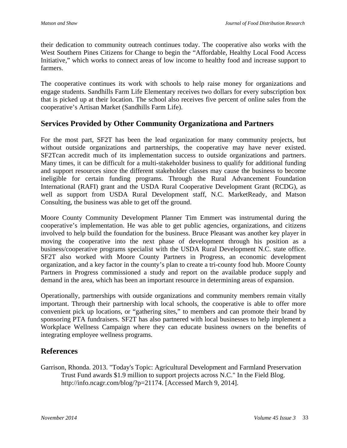their dedication to community outreach continues today. The cooperative also works with the West Southern Pines Citizens for Change to begin the "Affordable, Healthy Local Food Access Initiative," which works to connect areas of low income to healthy food and increase support to farmers.

The cooperative continues its work with schools to help raise money for organizations and engage students. Sandhills Farm Life Elementary receives two dollars for every subscription box that is picked up at their location. The school also receives five percent of online sales from the cooperative's Artisan Market (Sandhills Farm Life).

### **Services Provided by Other Community Organizationa and Partners**

For the most part, SF2T has been the lead organization for many community projects, but without outside organizations and partnerships, the cooperative may have never existed. SF2Tcan accredit much of its implementation success to outside organizations and partners. Many times, it can be difficult for a multi-stakeholder business to qualify for additional funding and support resources since the different stakeholder classes may cause the business to become ineligible for certain funding programs. Through the Rural Advancement Foundation International (RAFI) grant and the USDA Rural Cooperative Development Grant (RCDG), as well as support from USDA Rural Development staff, N.C. MarketReady, and Matson Consulting, the business was able to get off the ground.

Moore County Community Development Planner Tim Emmert was instrumental during the cooperative's implementation. He was able to get public agencies, organizations, and citizens involved to help build the foundation for the business. Bruce Pleasant was another key player in moving the cooperative into the next phase of development through his position as a business/cooperative programs specialist with the USDA Rural Development N.C. state office. SF2T also worked with Moore County Partners in Progress, an economic development organization, and a key factor in the county's plan to create a tri-county food hub. Moore County Partners in Progress commissioned a study and report on the available produce supply and demand in the area, which has been an important resource in determining areas of expansion.

Operationally, partnerships with outside organizations and community members remain vitally important. Through their partnership with local schools, the cooperative is able to offer more convenient pick up locations, or "gathering sites," to members and can promote their brand by sponsoring PTA fundraisers. SF2T has also partnered with local businesses to help implement a Workplace Wellness Campaign where they can educate business owners on the benefits of integrating employee wellness programs.

# **References**

Garrison, Rhonda. 2013. "Today's Topic: Agricultural Development and Farmland Preservation Trust Fund awards \$1.9 million to support projects across N.C." In the Field Blog. http://info.ncagr.com/blog/?p=21174. [Accessed March 9, 2014].